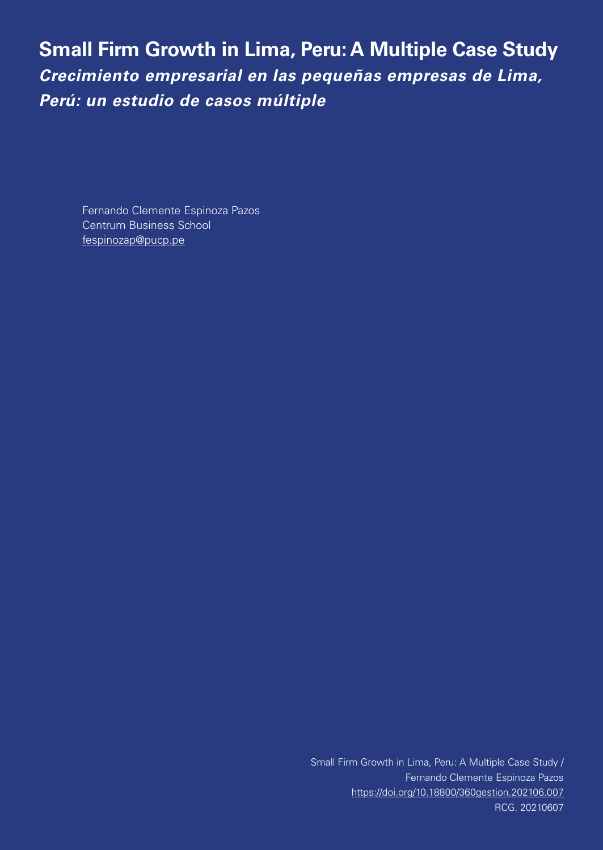**Small Firm Growth in Lima, Peru: A Multiple Case Study** *Crecimiento empresarial en las pequeñas empresas de Lima, Perú: un estudio de casos múltiple*

Fernando Clemente Espinoza Pazos Centrum Business School fespinozap@pucp.pe

> Small Firm Growth in Lima, Peru: A Multiple Case Study / Fernando Clemente Espinoza Pazos https://doi.org/10.18800/360gestion.202106.007 RCG. 20210607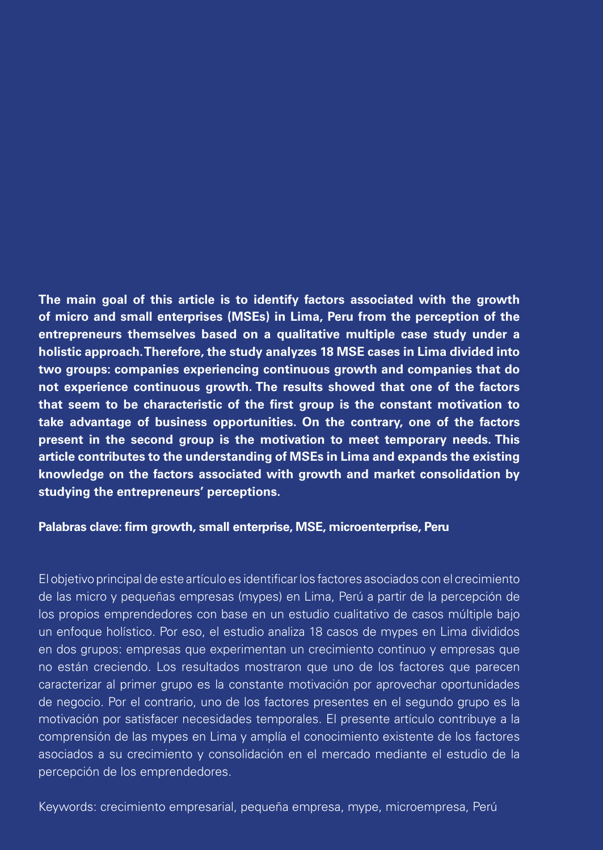**The main goal of this article is to identify factors associated with the growth of micro and small enterprises (MSEs) in Lima, Peru from the perception of the entrepreneurs themselves based on a qualitative multiple case study under a holistic approach. Therefore, the study analyzes 18 MSE cases in Lima divided into two groups: companies experiencing continuous growth and companies that do not experience continuous growth. The results showed that one of the factors that seem to be characteristic of the first group is the constant motivation to take advantage of business opportunities. On the contrary, one of the factors present in the second group is the motivation to meet temporary needs. This article contributes to the understanding of MSEs in Lima and expands the existing knowledge on the factors associated with growth and market consolidation by studying the entrepreneurs' perceptions.**

# **Palabras clave: firm growth, small enterprise, MSE, microenterprise, Peru**

El objetivo principal de este artículo es identificar los factores asociados con el crecimiento de las micro y pequeñas empresas (mypes) en Lima, Perú a partir de la percepción de los propios emprendedores con base en un estudio cualitativo de casos múltiple bajo un enfoque holístico. Por eso, el estudio analiza 18 casos de mypes en Lima divididos en dos grupos: empresas que experimentan un crecimiento continuo y empresas que no están creciendo. Los resultados mostraron que uno de los factores que parecen caracterizar al primer grupo es la constante motivación por aprovechar oportunidades de negocio. Por el contrario, uno de los factores presentes en el segundo grupo es la motivación por satisfacer necesidades temporales. El presente artículo contribuye a la comprensión de las mypes en Lima y amplía el conocimiento existente de los factores asociados a su crecimiento y consolidación en el mercado mediante el estudio de la percepción de los emprendedores.

Keywords: crecimiento empresarial, pequeña empresa, mype, microempresa, Perú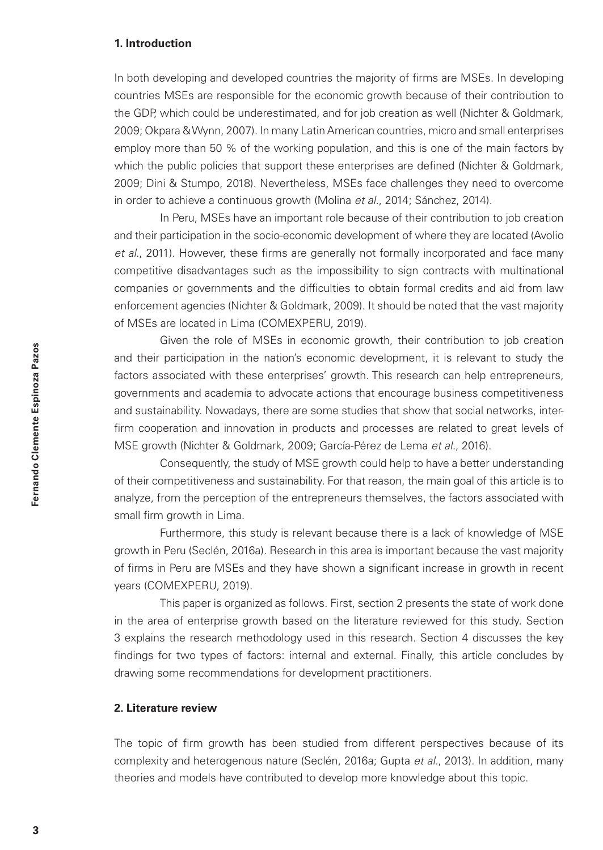## **1. Introduction**

In both developing and developed countries the majority of firms are MSEs. In developing countries MSEs are responsible for the economic growth because of their contribution to the GDP, which could be underestimated, and for job creation as well (Nichter & Goldmark, 2009; Okpara & Wynn, 2007). In many Latin American countries, micro and small enterprises employ more than 50 % of the working population, and this is one of the main factors by which the public policies that support these enterprises are defined (Nichter & Goldmark, 2009; Dini & Stumpo, 2018). Nevertheless, MSEs face challenges they need to overcome in order to achieve a continuous growth (Molina *et al.*, 2014; Sánchez, 2014).

In Peru, MSEs have an important role because of their contribution to job creation and their participation in the socio-economic development of where they are located (Avolio *et al.*, 2011). However, these firms are generally not formally incorporated and face many competitive disadvantages such as the impossibility to sign contracts with multinational companies or governments and the difficulties to obtain formal credits and aid from law enforcement agencies (Nichter & Goldmark, 2009). It should be noted that the vast majority of MSEs are located in Lima (COMEXPERU, 2019).

Given the role of MSEs in economic growth, their contribution to job creation and their participation in the nation's economic development, it is relevant to study the factors associated with these enterprises' growth. This research can help entrepreneurs, governments and academia to advocate actions that encourage business competitiveness and sustainability. Nowadays, there are some studies that show that social networks, interfirm cooperation and innovation in products and processes are related to great levels of MSE growth (Nichter & Goldmark, 2009; García-Pérez de Lema *et al.*, 2016).

Consequently, the study of MSE growth could help to have a better understanding of their competitiveness and sustainability. For that reason, the main goal of this article is to analyze, from the perception of the entrepreneurs themselves, the factors associated with small firm growth in Lima.

Furthermore, this study is relevant because there is a lack of knowledge of MSE growth in Peru (Seclén, 2016a). Research in this area is important because the vast majority of firms in Peru are MSEs and they have shown a significant increase in growth in recent years (COMEXPERU, 2019).

This paper is organized as follows. First, section 2 presents the state of work done in the area of enterprise growth based on the literature reviewed for this study. Section 3 explains the research methodology used in this research. Section 4 discusses the key findings for two types of factors: internal and external. Finally, this article concludes by drawing some recommendations for development practitioners.

# **2. Literature review**

The topic of firm growth has been studied from different perspectives because of its complexity and heterogenous nature (Seclén, 2016a; Gupta *et al.*, 2013). In addition, many theories and models have contributed to develop more knowledge about this topic.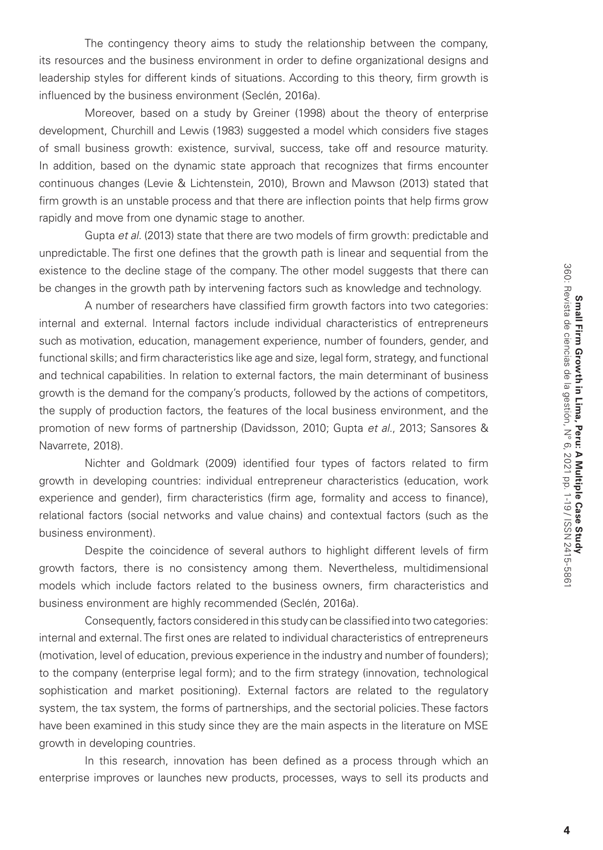The contingency theory aims to study the relationship between the company, its resources and the business environment in order to define organizational designs and leadership styles for different kinds of situations. According to this theory, firm growth is influenced by the business environment (Seclén, 2016a).

Moreover, based on a study by Greiner (1998) about the theory of enterprise development, Churchill and Lewis (1983) suggested a model which considers five stages of small business growth: existence, survival, success, take off and resource maturity. In addition, based on the dynamic state approach that recognizes that firms encounter continuous changes (Levie & Lichtenstein, 2010), Brown and Mawson (2013) stated that firm growth is an unstable process and that there are inflection points that help firms grow rapidly and move from one dynamic stage to another.

Gupta *et al.* (2013) state that there are two models of firm growth: predictable and unpredictable. The first one defines that the growth path is linear and sequential from the existence to the decline stage of the company. The other model suggests that there can be changes in the growth path by intervening factors such as knowledge and technology.

A number of researchers have classified firm growth factors into two categories: internal and external. Internal factors include individual characteristics of entrepreneurs such as motivation, education, management experience, number of founders, gender, and functional skills; and firm characteristics like age and size, legal form, strategy, and functional and technical capabilities. In relation to external factors, the main determinant of business growth is the demand for the company's products, followed by the actions of competitors, the supply of production factors, the features of the local business environment, and the promotion of new forms of partnership (Davidsson, 2010; Gupta *et al.*, 2013; Sansores & Navarrete, 2018).

Nichter and Goldmark (2009) identified four types of factors related to firm growth in developing countries: individual entrepreneur characteristics (education, work experience and gender), firm characteristics (firm age, formality and access to finance), relational factors (social networks and value chains) and contextual factors (such as the business environment).

Despite the coincidence of several authors to highlight different levels of firm growth factors, there is no consistency among them. Nevertheless, multidimensional models which include factors related to the business owners, firm characteristics and business environment are highly recommended (Seclén, 2016a).

Consequently, factors considered in this study can be classified into two categories: internal and external. The first ones are related to individual characteristics of entrepreneurs (motivation, level of education, previous experience in the industry and number of founders); to the company (enterprise legal form); and to the firm strategy (innovation, technological sophistication and market positioning). External factors are related to the regulatory system, the tax system, the forms of partnerships, and the sectorial policies. These factors have been examined in this study since they are the main aspects in the literature on MSE growth in developing countries.

In this research, innovation has been defined as a process through which an enterprise improves or launches new products, processes, ways to sell its products and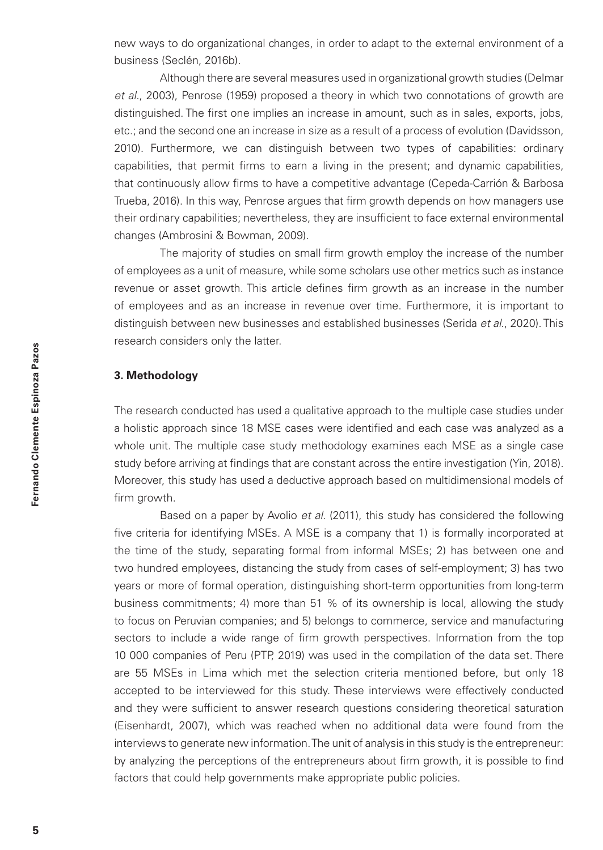new ways to do organizational changes, in order to adapt to the external environment of a business (Seclén, 2016b).

Although there are several measures used in organizational growth studies (Delmar *et al.*, 2003), Penrose (1959) proposed a theory in which two connotations of growth are distinguished. The first one implies an increase in amount, such as in sales, exports, jobs, etc.; and the second one an increase in size as a result of a process of evolution (Davidsson, 2010). Furthermore, we can distinguish between two types of capabilities: ordinary capabilities, that permit firms to earn a living in the present; and dynamic capabilities, that continuously allow firms to have a competitive advantage (Cepeda-Carrión & Barbosa Trueba, 2016). In this way, Penrose argues that firm growth depends on how managers use their ordinary capabilities; nevertheless, they are insufficient to face external environmental changes (Ambrosini & Bowman, 2009).

The majority of studies on small firm growth employ the increase of the number of employees as a unit of measure, while some scholars use other metrics such as instance revenue or asset growth. This article defines firm growth as an increase in the number of employees and as an increase in revenue over time. Furthermore, it is important to distinguish between new businesses and established businesses (Serida *et al*., 2020). This research considers only the latter.

# **3. Methodology**

The research conducted has used a qualitative approach to the multiple case studies under a holistic approach since 18 MSE cases were identified and each case was analyzed as a whole unit. The multiple case study methodology examines each MSE as a single case study before arriving at findings that are constant across the entire investigation (Yin, 2018). Moreover, this study has used a deductive approach based on multidimensional models of firm growth.

Based on a paper by Avolio *et al.* (2011), this study has considered the following five criteria for identifying MSEs. A MSE is a company that 1) is formally incorporated at the time of the study, separating formal from informal MSEs; 2) has between one and two hundred employees, distancing the study from cases of self-employment; 3) has two years or more of formal operation, distinguishing short-term opportunities from long-term business commitments; 4) more than 51 % of its ownership is local, allowing the study to focus on Peruvian companies; and 5) belongs to commerce, service and manufacturing sectors to include a wide range of firm growth perspectives. Information from the top 10 000 companies of Peru (PTP, 2019) was used in the compilation of the data set. There are 55 MSEs in Lima which met the selection criteria mentioned before, but only 18 accepted to be interviewed for this study. These interviews were effectively conducted and they were sufficient to answer research questions considering theoretical saturation (Eisenhardt, 2007), which was reached when no additional data were found from the interviews to generate new information. The unit of analysis in this study is the entrepreneur: by analyzing the perceptions of the entrepreneurs about firm growth, it is possible to find factors that could help governments make appropriate public policies.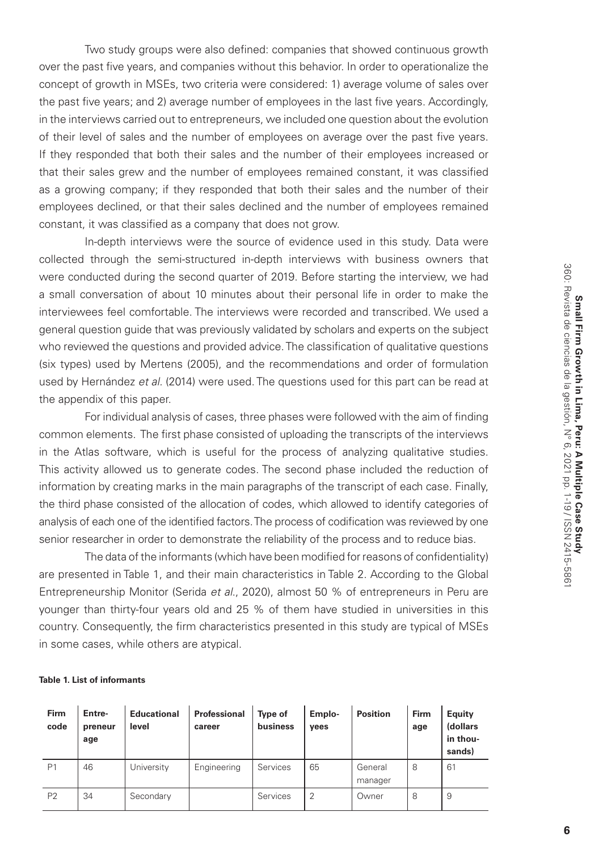Two study groups were also defined: companies that showed continuous growth over the past five years, and companies without this behavior. In order to operationalize the concept of growth in MSEs, two criteria were considered: 1) average volume of sales over the past five years; and 2) average number of employees in the last five years. Accordingly, in the interviews carried out to entrepreneurs, we included one question about the evolution of their level of sales and the number of employees on average over the past five years. If they responded that both their sales and the number of their employees increased or that their sales grew and the number of employees remained constant, it was classified as a growing company; if they responded that both their sales and the number of their employees declined, or that their sales declined and the number of employees remained constant, it was classified as a company that does not grow.

In-depth interviews were the source of evidence used in this study. Data were collected through the semi-structured in-depth interviews with business owners that were conducted during the second quarter of 2019. Before starting the interview, we had a small conversation of about 10 minutes about their personal life in order to make the interviewees feel comfortable. The interviews were recorded and transcribed. We used a general question guide that was previously validated by scholars and experts on the subject who reviewed the questions and provided advice. The classification of qualitative questions (six types) used by Mertens (2005), and the recommendations and order of formulation used by Hernández *et al.* (2014) were used. The questions used for this part can be read at the appendix of this paper.

For individual analysis of cases, three phases were followed with the aim of finding common elements. The first phase consisted of uploading the transcripts of the interviews in the Atlas software, which is useful for the process of analyzing qualitative studies. This activity allowed us to generate codes. The second phase included the reduction of information by creating marks in the main paragraphs of the transcript of each case. Finally, the third phase consisted of the allocation of codes, which allowed to identify categories of analysis of each one of the identified factors. The process of codification was reviewed by one senior researcher in order to demonstrate the reliability of the process and to reduce bias.

The data of the informants (which have been modified for reasons of confidentiality) are presented in Table 1, and their main characteristics in Table 2. According to the Global Entrepreneurship Monitor (Serida *et al*., 2020), almost 50 % of entrepreneurs in Peru are younger than thirty-four years old and 25 % of them have studied in universities in this country. Consequently, the firm characteristics presented in this study are typical of MSEs in some cases, while others are atypical.

#### **Table 1. List of informants**

| Firm<br>code   | Entre-<br>preneur<br>age | <b>Educational</b><br>level | Professional<br>career | <b>Type of</b><br>business | Emplo-<br>yees | <b>Position</b>    | Firm<br>age | Equity<br>(dollars<br>in thou-<br>sands) |
|----------------|--------------------------|-----------------------------|------------------------|----------------------------|----------------|--------------------|-------------|------------------------------------------|
| P <sub>1</sub> | 46                       | University                  | Engineering            | Services                   | 65             | General<br>manager | 8           | 61                                       |
| P <sub>2</sub> | 34                       | Secondary                   |                        | Services                   | $\overline{2}$ | Owner              | 8           | 9                                        |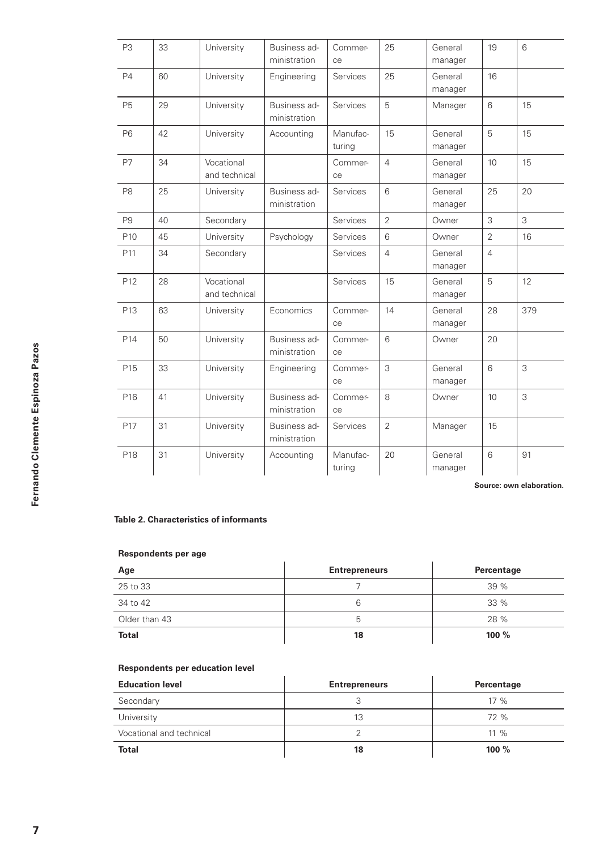| P <sub>3</sub>  | 33 | University                  | Business ad-<br>ministration | Commer-<br>ce      | 25             | General<br>manager | 19              | 6   |
|-----------------|----|-----------------------------|------------------------------|--------------------|----------------|--------------------|-----------------|-----|
| P <sub>4</sub>  | 60 | University                  | Engineering                  | <b>Services</b>    | 25             | General<br>manager | 16              |     |
| <b>P5</b>       | 29 | University                  | Business ad-<br>ministration | <b>Services</b>    | 5              | Manager            | 6               | 15  |
| <b>P6</b>       | 42 | University                  | Accounting                   | Manufac-<br>turing | 15             | General<br>manager | 5               | 15  |
| <b>P7</b>       | 34 | Vocational<br>and technical |                              | Commer-<br>ce      | $\overline{4}$ | General<br>manager | 10 <sup>1</sup> | 15  |
| P <sub>8</sub>  | 25 | University                  | Business ad-<br>ministration | <b>Services</b>    | 6              | General<br>manager | 25              | 20  |
| P <sub>9</sub>  | 40 | Secondary                   |                              | Services           | $\overline{2}$ | Owner              | 3               | 3   |
| P <sub>10</sub> | 45 | University                  | Psychology                   | <b>Services</b>    | 6              | Owner              | $\overline{2}$  | 16  |
| P <sub>11</sub> | 34 | Secondary                   |                              | Services           | $\overline{4}$ | General<br>manager | $\overline{4}$  |     |
| P12             | 28 | Vocational<br>and technical |                              | Services           | 15             | General<br>manager | 5               | 12  |
| P <sub>13</sub> | 63 | University                  | Economics                    | Commer-<br>ce      | 14             | General<br>manager | 28              | 379 |
| P14             | 50 | University                  | Business ad-<br>ministration | Commer-<br>ce      | 6              | Owner              | 20              |     |
| P <sub>15</sub> | 33 | University                  | Engineering                  | Commer-<br>ce      | 3              | General<br>manager | 6               | 3   |
| P16             | 41 | University                  | Business ad-<br>ministration | Commer-<br>ce      | 8              | Owner              | 10 <sup>1</sup> | 3   |
| P <sub>17</sub> | 31 | University                  | Business ad-<br>ministration | Services           | $\overline{2}$ | Manager            | 15              |     |
| P18             | 31 | University                  | Accounting                   | Manufac-<br>turing | 20             | General<br>manager | 6               | 91  |

**Source: own elaboration.**

#### **Table 2. Characteristics of informants**

#### **Respondents per age**

| Age           | <b>Entrepreneurs</b> | Percentage |
|---------------|----------------------|------------|
| 25 to 33      |                      | 39%        |
| 34 to 42      | 6                    | $33\%$     |
| Older than 43 | b                    | 28 %       |
| <b>Total</b>  | 18                   | 100 $%$    |

#### **Respondents per education level**

| <b>Education level</b>   | <b>Entrepreneurs</b> | Percentage |
|--------------------------|----------------------|------------|
| Secondary                | x.                   | $17\%$     |
| University               | 13                   | 72%        |
| Vocational and technical |                      | $11\%$     |
| Total                    | 18                   | $100 \%$   |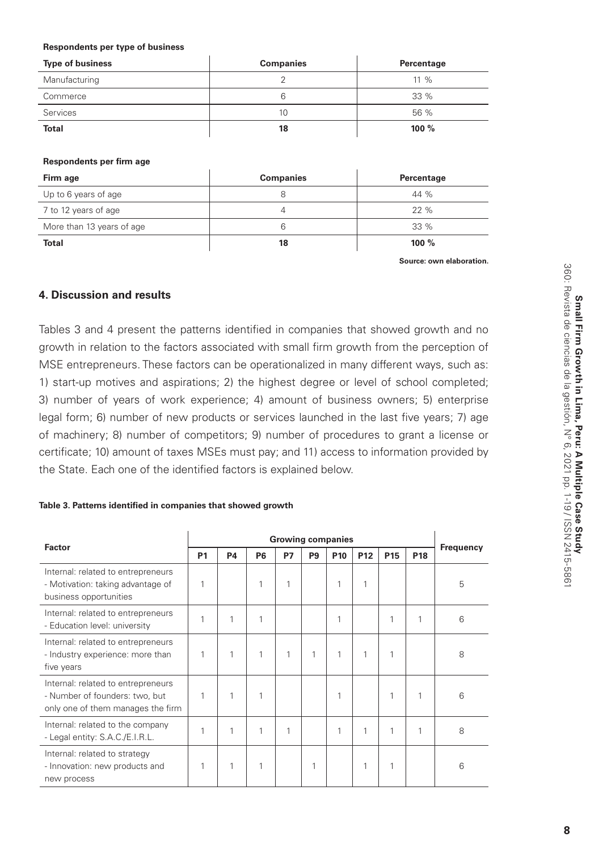#### **Respondents per type of business**

| <b>Type of business</b> | <b>Companies</b> | Percentage |
|-------------------------|------------------|------------|
| Manufacturing           |                  | $11\%$     |
| Commerce                | 6                | $33\%$     |
| Services                | 10               | 56 %       |
| <b>Total</b>            | 18               | 100 %      |

#### **Respondents per firm age**

| Firm age                  | <b>Companies</b> | Percentage |
|---------------------------|------------------|------------|
| Up to 6 years of age      | 8                | 44 %       |
| 7 to 12 years of age      | 4                | 22%        |
| More than 13 years of age | 6                | $33\%$     |
| <b>Total</b>              | 18               | 100 $%$    |

 **Source: own elaboration.**

# **4. Discussion and results**

Tables 3 and 4 present the patterns identified in companies that showed growth and no growth in relation to the factors associated with small firm growth from the perception of MSE entrepreneurs. These factors can be operationalized in many different ways, such as: 1) start-up motives and aspirations; 2) the highest degree or level of school completed; 3) number of years of work experience; 4) amount of business owners; 5) enterprise legal form; 6) number of new products or services launched in the last five years; 7) age of machinery; 8) number of competitors; 9) number of procedures to grant a license or certificate; 10) amount of taxes MSEs must pay; and 11) access to information provided by the State. Each one of the identified factors is explained below.

#### **Table 3. Patterns identified in companies that showed growth**

|                                                                                                           |                |    |                |    |                | <b>Growing companies</b> |                 |                 |                 |           |
|-----------------------------------------------------------------------------------------------------------|----------------|----|----------------|----|----------------|--------------------------|-----------------|-----------------|-----------------|-----------|
| <b>Factor</b>                                                                                             | P <sub>1</sub> | P4 | P <sub>6</sub> | P7 | P <sub>9</sub> | P <sub>10</sub>          | P <sub>12</sub> | P <sub>15</sub> | P <sub>18</sub> | Frequency |
| Internal: related to entrepreneurs<br>- Motivation: taking advantage of<br>business opportunities         |                |    | 1              | 1  |                |                          |                 |                 |                 | 5         |
| Internal: related to entrepreneurs<br>- Education level: university                                       |                |    | 1              |    |                |                          |                 | 1               | 1               | 6         |
| Internal: related to entrepreneurs<br>- Industry experience: more than<br>five years                      |                |    | 1              | 1  | 1              |                          | 1               | 1               |                 | 8         |
| Internal: related to entrepreneurs<br>- Number of founders: two, but<br>only one of them manages the firm | 1              |    | 1              |    |                |                          |                 | 1               | 1               | 6         |
| Internal: related to the company<br>- Legal entity: S.A.C./E.I.R.L.                                       |                |    | 1              | 1  |                |                          | 1               | 1               | 1               | 8         |
| Internal: related to strategy<br>- Innovation: new products and<br>new process                            |                |    |                |    |                |                          |                 | 1               |                 | 6         |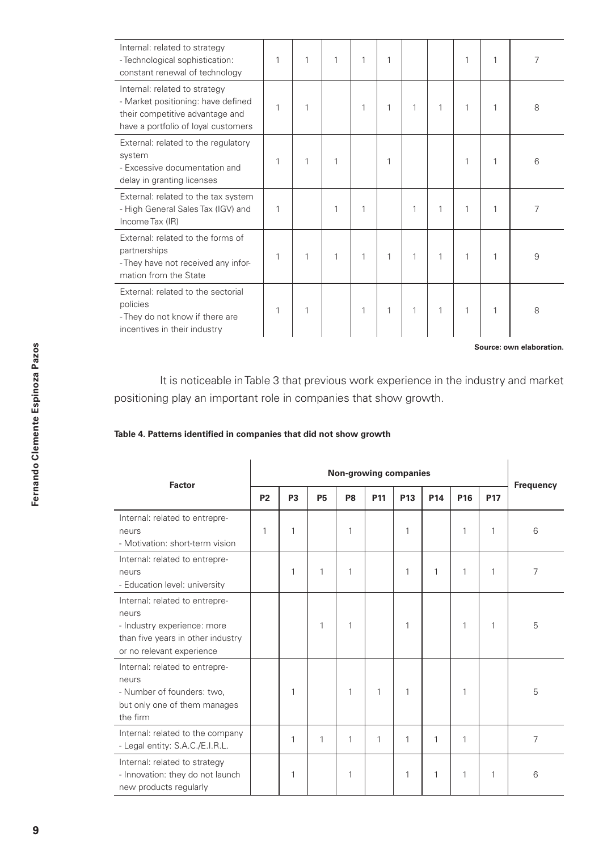| Internal: related to strategy<br>- Technological sophistication:<br>constant renewal of technology                                            | 1 | 1 | 1 | 1 | 1 |   |   | 1 | 1 | 7 |
|-----------------------------------------------------------------------------------------------------------------------------------------------|---|---|---|---|---|---|---|---|---|---|
| Internal: related to strategy<br>- Market positioning: have defined<br>their competitive advantage and<br>have a portfolio of loyal customers | 1 | 1 |   | 1 | 1 | 1 | 1 | 1 | 1 | 8 |
| External: related to the regulatory<br>system<br>- Excessive documentation and<br>delay in granting licenses                                  | 1 | 1 | 1 |   | 1 |   |   | 1 | 1 | 6 |
| External: related to the tax system<br>- High General Sales Tax (IGV) and<br>Income Tax (IR)                                                  | 1 |   | 1 | 1 |   | 1 | 1 | 1 | 1 | 7 |
| External: related to the forms of<br>partnerships<br>- They have not received any infor-<br>mation from the State                             | 1 | 1 | 1 | 1 | 1 | 1 | 1 | 1 | 1 | 9 |
| External: related to the sectorial<br>policies<br>- They do not know if there are<br>incentives in their industry                             | 1 | 1 |   | 1 | 1 | 1 | 1 | 1 | 1 | 8 |

**Source: own elaboration.**

It is noticeable in Table 3 that previous work experience in the industry and market positioning play an important role in companies that show growth.

#### **Table 4. Patterns identified in companies that did not show growth**

| Factor                                                                                                                                   |                | Non-growing companies |           |                |                 |                 |                 |                 |              |           |  |  |
|------------------------------------------------------------------------------------------------------------------------------------------|----------------|-----------------------|-----------|----------------|-----------------|-----------------|-----------------|-----------------|--------------|-----------|--|--|
|                                                                                                                                          | P <sub>2</sub> | P <sub>3</sub>        | <b>P5</b> | P <sub>8</sub> | P <sub>11</sub> | P <sub>13</sub> | P <sub>14</sub> | P <sub>16</sub> | <b>P17</b>   | Frequency |  |  |
| Internal: related to entrepre-<br>neurs<br>- Motivation: short-term vision                                                               | 1              | 1                     |           | 1              |                 | 1               |                 | 1               | 1            | 6         |  |  |
| Internal: related to entrepre-<br>neurs<br>- Education level: university                                                                 |                | 1                     | 1         | 1              |                 | 1               | $\mathbf{1}$    | 1               | 1            | 7         |  |  |
| Internal: related to entrepre-<br>neurs<br>- Industry experience: more<br>than five years in other industry<br>or no relevant experience |                |                       | 1         | 1              |                 | 1               |                 | 1               | $\mathbf{1}$ | 5         |  |  |
| Internal: related to entrepre-<br>neurs<br>- Number of founders: two,<br>but only one of them manages<br>the firm                        |                | 1                     |           | 1              | 1               | 1               |                 | 1               |              | 5         |  |  |
| Internal: related to the company<br>- Legal entity: S.A.C./E.I.R.L.                                                                      |                | 1                     | 1         | 1              | 1               | 1               | 1               | 1               |              | 7         |  |  |
| Internal: related to strategy<br>- Innovation: they do not launch<br>new products regularly                                              |                | 1                     |           | 1              |                 | 1               | $\mathbf{1}$    | 1               | 1            | 6         |  |  |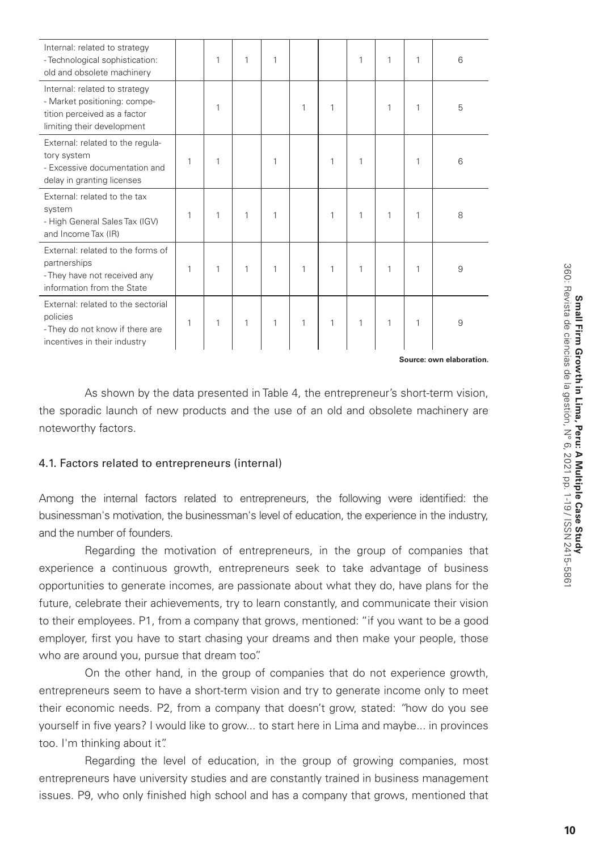| Internal: related to strategy<br>- Technological sophistication:<br>old and obsolete machinery                              |   | 1 | 1 | 1 |   |   | 1 | 1 | 1 | 6 |
|-----------------------------------------------------------------------------------------------------------------------------|---|---|---|---|---|---|---|---|---|---|
| Internal: related to strategy<br>- Market positioning: compe-<br>tition perceived as a factor<br>limiting their development |   | 1 |   |   | 1 | 1 |   | 1 | 1 | 5 |
| External: related to the regula-<br>tory system<br>- Excessive documentation and<br>delay in granting licenses              | 1 | 1 |   | 1 |   | 1 | 1 |   | 1 | 6 |
| External: related to the tax<br>system<br>- High General Sales Tax (IGV)<br>and Income Tax (IR)                             | 1 | 1 | 1 | 1 |   | 1 | 1 | 1 | 1 | 8 |
| External: related to the forms of<br>partnerships<br>- They have not received any<br>information from the State             | 1 | 1 | 1 | 1 | 1 | 1 | 1 | 1 | 1 | 9 |
| External: related to the sectorial<br>policies<br>- They do not know if there are<br>incentives in their industry           | 1 | 1 | 1 | 1 | 1 | 1 | 1 | 1 | 1 | 9 |

**Source: own elaboration.**

As shown by the data presented in Table 4, the entrepreneur's short-term vision, the sporadic launch of new products and the use of an old and obsolete machinery are noteworthy factors.

## 4.1. Factors related to entrepreneurs (internal)

Among the internal factors related to entrepreneurs, the following were identified: the businessman's motivation, the businessman's level of education, the experience in the industry, and the number of founders.

Regarding the motivation of entrepreneurs, in the group of companies that experience a continuous growth, entrepreneurs seek to take advantage of business opportunities to generate incomes, are passionate about what they do, have plans for the future, celebrate their achievements, try to learn constantly, and communicate their vision to their employees. P1, from a company that grows, mentioned: "if you want to be a good employer, first you have to start chasing your dreams and then make your people, those who are around you, pursue that dream too".

On the other hand, in the group of companies that do not experience growth, entrepreneurs seem to have a short-term vision and try to generate income only to meet their economic needs. P2, from a company that doesn't grow, stated: *"*how do you see yourself in five years? I would like to grow... to start here in Lima and maybe... in provinces too. I'm thinking about it".

Regarding the level of education, in the group of growing companies, most entrepreneurs have university studies and are constantly trained in business management issues. P9, who only finished high school and has a company that grows, mentioned that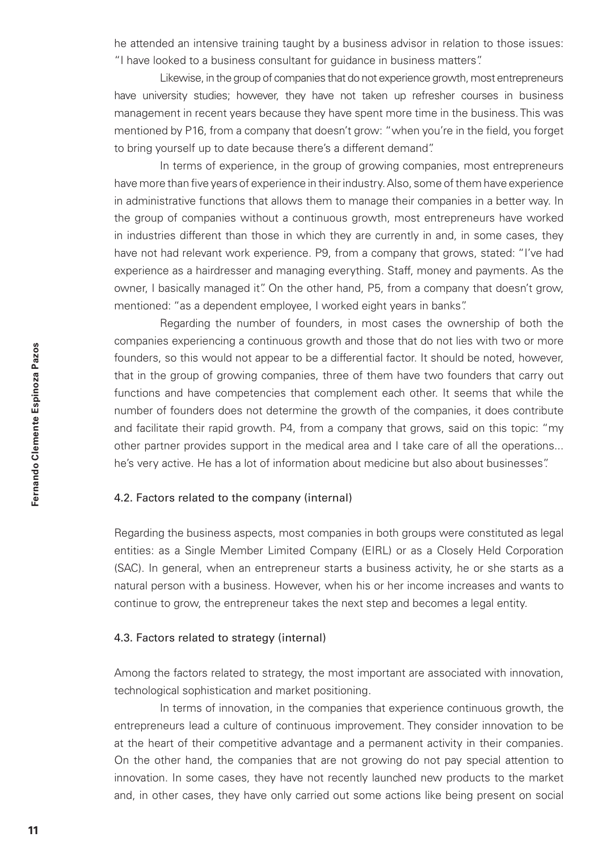he attended an intensive training taught by a business advisor in relation to those issues: "I have looked to a business consultant for guidance in business matters".

Likewise, in the group of companies that do not experience growth, most entrepreneurs have university studies; however, they have not taken up refresher courses in business management in recent years because they have spent more time in the business. This was mentioned by P16, from a company that doesn't grow: "when you're in the field, you forget to bring yourself up to date because there's a different demand".

In terms of experience, in the group of growing companies, most entrepreneurs have more than five years of experience in their industry. Also, some of them have experience in administrative functions that allows them to manage their companies in a better way. In the group of companies without a continuous growth, most entrepreneurs have worked in industries different than those in which they are currently in and, in some cases, they have not had relevant work experience. P9, from a company that grows, stated: "I've had experience as a hairdresser and managing everything. Staff, money and payments. As the owner, I basically managed it". On the other hand, P5, from a company that doesn't grow, mentioned: "as a dependent employee, I worked eight years in banks".

Regarding the number of founders, in most cases the ownership of both the companies experiencing a continuous growth and those that do not lies with two or more founders, so this would not appear to be a differential factor. It should be noted, however, that in the group of growing companies, three of them have two founders that carry out functions and have competencies that complement each other. It seems that while the number of founders does not determine the growth of the companies, it does contribute and facilitate their rapid growth. P4, from a company that grows, said on this topic: "my other partner provides support in the medical area and I take care of all the operations... he's very active. He has a lot of information about medicine but also about businesses".

# 4.2. Factors related to the company (internal)

Regarding the business aspects, most companies in both groups were constituted as legal entities: as a Single Member Limited Company (EIRL) or as a Closely Held Corporation (SAC). In general, when an entrepreneur starts a business activity, he or she starts as a natural person with a business. However, when his or her income increases and wants to continue to grow, the entrepreneur takes the next step and becomes a legal entity.

## 4.3. Factors related to strategy (internal)

Among the factors related to strategy, the most important are associated with innovation, technological sophistication and market positioning.

In terms of innovation, in the companies that experience continuous growth, the entrepreneurs lead a culture of continuous improvement. They consider innovation to be at the heart of their competitive advantage and a permanent activity in their companies. On the other hand, the companies that are not growing do not pay special attention to innovation. In some cases, they have not recently launched new products to the market and, in other cases, they have only carried out some actions like being present on social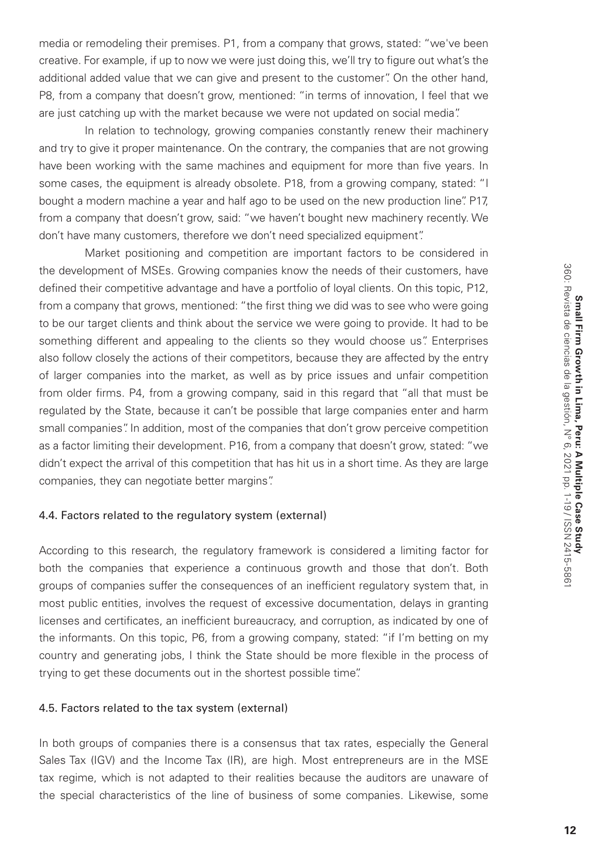media or remodeling their premises. P1, from a company that grows, stated: "we've been creative. For example, if up to now we were just doing this, we'll try to figure out what's the additional added value that we can give and present to the customer". On the other hand, P8, from a company that doesn't grow, mentioned: "in terms of innovation, I feel that we are just catching up with the market because we were not updated on social media".

In relation to technology, growing companies constantly renew their machinery and try to give it proper maintenance. On the contrary, the companies that are not growing have been working with the same machines and equipment for more than five years. In some cases, the equipment is already obsolete. P18, from a growing company, stated: "I bought a modern machine a year and half ago to be used on the new production line". P17, from a company that doesn't grow, said: "we haven't bought new machinery recently. We don't have many customers, therefore we don't need specialized equipment".

Market positioning and competition are important factors to be considered in the development of MSEs. Growing companies know the needs of their customers, have defined their competitive advantage and have a portfolio of loyal clients. On this topic, P12, from a company that grows, mentioned: "the first thing we did was to see who were going to be our target clients and think about the service we were going to provide. It had to be something different and appealing to the clients so they would choose us". Enterprises also follow closely the actions of their competitors, because they are affected by the entry of larger companies into the market, as well as by price issues and unfair competition from older firms. P4, from a growing company, said in this regard that "all that must be regulated by the State, because it can't be possible that large companies enter and harm small companies". In addition, most of the companies that don't grow perceive competition as a factor limiting their development. P16, from a company that doesn't grow, stated: "we didn't expect the arrival of this competition that has hit us in a short time. As they are large companies, they can negotiate better margins".

## 4.4. Factors related to the regulatory system (external)

According to this research, the regulatory framework is considered a limiting factor for both the companies that experience a continuous growth and those that don't. Both groups of companies suffer the consequences of an inefficient regulatory system that, in most public entities, involves the request of excessive documentation, delays in granting licenses and certificates, an inefficient bureaucracy, and corruption, as indicated by one of the informants. On this topic, P6, from a growing company, stated: "if I'm betting on my country and generating jobs, I think the State should be more flexible in the process of trying to get these documents out in the shortest possible time".

#### 4.5. Factors related to the tax system (external)

In both groups of companies there is a consensus that tax rates, especially the General Sales Tax (IGV) and the Income Tax (IR), are high. Most entrepreneurs are in the MSE tax regime, which is not adapted to their realities because the auditors are unaware of the special characteristics of the line of business of some companies. Likewise, some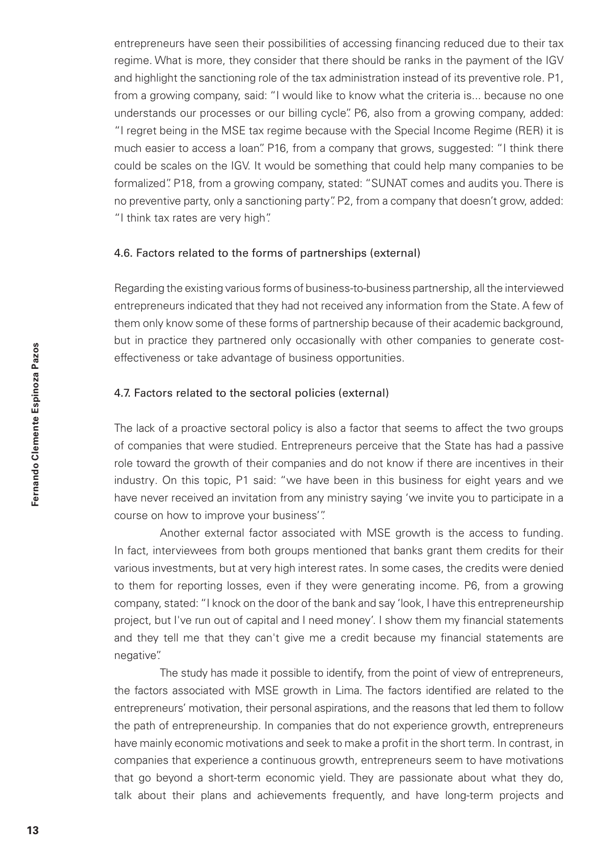entrepreneurs have seen their possibilities of accessing financing reduced due to their tax regime. What is more, they consider that there should be ranks in the payment of the IGV and highlight the sanctioning role of the tax administration instead of its preventive role. P1, from a growing company, said: "I would like to know what the criteria is... because no one understands our processes or our billing cycle". P6, also from a growing company, added: "I regret being in the MSE tax regime because with the Special Income Regime (RER) it is much easier to access a loan". P16, from a company that grows, suggested: "I think there could be scales on the IGV. It would be something that could help many companies to be formalized". P18, from a growing company, stated: "SUNAT comes and audits you. There is no preventive party, only a sanctioning party". P2, from a company that doesn't grow, added: "I think tax rates are very high".

## 4.6. Factors related to the forms of partnerships (external)

Regarding the existing various forms of business-to-business partnership, all the interviewed entrepreneurs indicated that they had not received any information from the State. A few of them only know some of these forms of partnership because of their academic background, but in practice they partnered only occasionally with other companies to generate costeffectiveness or take advantage of business opportunities.

# 4.7. Factors related to the sectoral policies (external)

The lack of a proactive sectoral policy is also a factor that seems to affect the two groups of companies that were studied. Entrepreneurs perceive that the State has had a passive role toward the growth of their companies and do not know if there are incentives in their industry*.* On this topic, P1 said: "we have been in this business for eight years and we have never received an invitation from any ministry saying 'we invite you to participate in a course on how to improve your business'".

Another external factor associated with MSE growth is the access to funding. In fact, interviewees from both groups mentioned that banks grant them credits for their various investments, but at very high interest rates. In some cases, the credits were denied to them for reporting losses, even if they were generating income. P6, from a growing company, stated: "I knock on the door of the bank and say 'look, I have this entrepreneurship project, but I've run out of capital and I need money'. I show them my financial statements and they tell me that they can't give me a credit because my financial statements are negative".

The study has made it possible to identify, from the point of view of entrepreneurs, the factors associated with MSE growth in Lima. The factors identified are related to the entrepreneurs' motivation, their personal aspirations, and the reasons that led them to follow the path of entrepreneurship. In companies that do not experience growth, entrepreneurs have mainly economic motivations and seek to make a profit in the short term. In contrast, in companies that experience a continuous growth, entrepreneurs seem to have motivations that go beyond a short-term economic yield. They are passionate about what they do, talk about their plans and achievements frequently, and have long-term projects and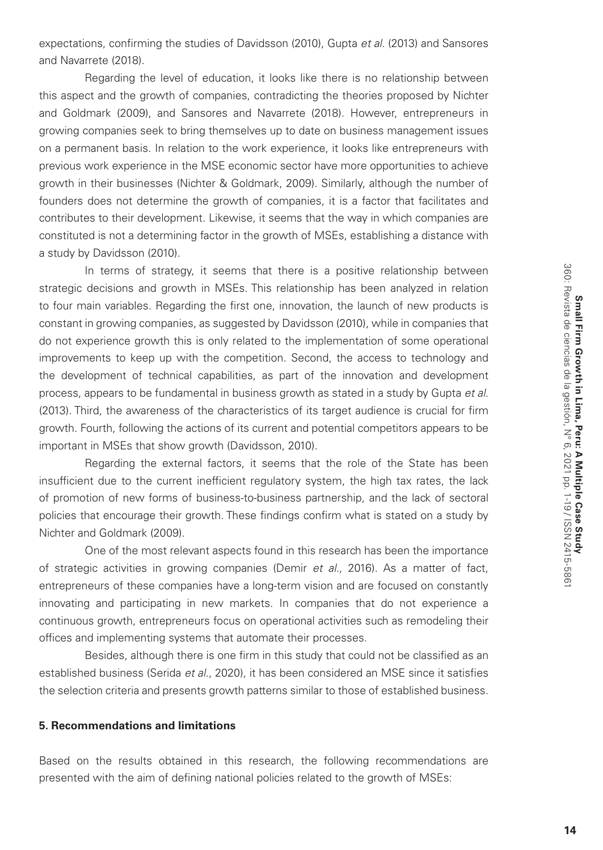expectations, confirming the studies of Davidsson (2010), Gupta *et al.* (2013) and Sansores and Navarrete (2018).

Regarding the level of education, it looks like there is no relationship between this aspect and the growth of companies, contradicting the theories proposed by Nichter and Goldmark (2009), and Sansores and Navarrete (2018). However, entrepreneurs in growing companies seek to bring themselves up to date on business management issues on a permanent basis. In relation to the work experience, it looks like entrepreneurs with previous work experience in the MSE economic sector have more opportunities to achieve growth in their businesses (Nichter & Goldmark, 2009). Similarly, although the number of founders does not determine the growth of companies, it is a factor that facilitates and contributes to their development. Likewise, it seems that the way in which companies are constituted is not a determining factor in the growth of MSEs, establishing a distance with a study by Davidsson (2010).

In terms of strategy, it seems that there is a positive relationship between strategic decisions and growth in MSEs. This relationship has been analyzed in relation to four main variables. Regarding the first one, innovation, the launch of new products is constant in growing companies, as suggested by Davidsson (2010), while in companies that do not experience growth this is only related to the implementation of some operational improvements to keep up with the competition. Second, the access to technology and the development of technical capabilities, as part of the innovation and development process, appears to be fundamental in business growth as stated in a study by Gupta *et al.* (2013). Third, the awareness of the characteristics of its target audience is crucial for firm growth. Fourth, following the actions of its current and potential competitors appears to be important in MSEs that show growth (Davidsson, 2010).

Regarding the external factors, it seems that the role of the State has been insufficient due to the current inefficient regulatory system, the high tax rates, the lack of promotion of new forms of business-to-business partnership, and the lack of sectoral policies that encourage their growth. These findings confirm what is stated on a study by Nichter and Goldmark (2009).

One of the most relevant aspects found in this research has been the importance of strategic activities in growing companies (Demir *et al.*, 2016). As a matter of fact, entrepreneurs of these companies have a long-term vision and are focused on constantly innovating and participating in new markets. In companies that do not experience a continuous growth, entrepreneurs focus on operational activities such as remodeling their offices and implementing systems that automate their processes.

Besides, although there is one firm in this study that could not be classified as an established business (Serida *et al*., 2020), it has been considered an MSE since it satisfies the selection criteria and presents growth patterns similar to those of established business.

## **5. Recommendations and limitations**

Based on the results obtained in this research, the following recommendations are presented with the aim of defining national policies related to the growth of MSEs: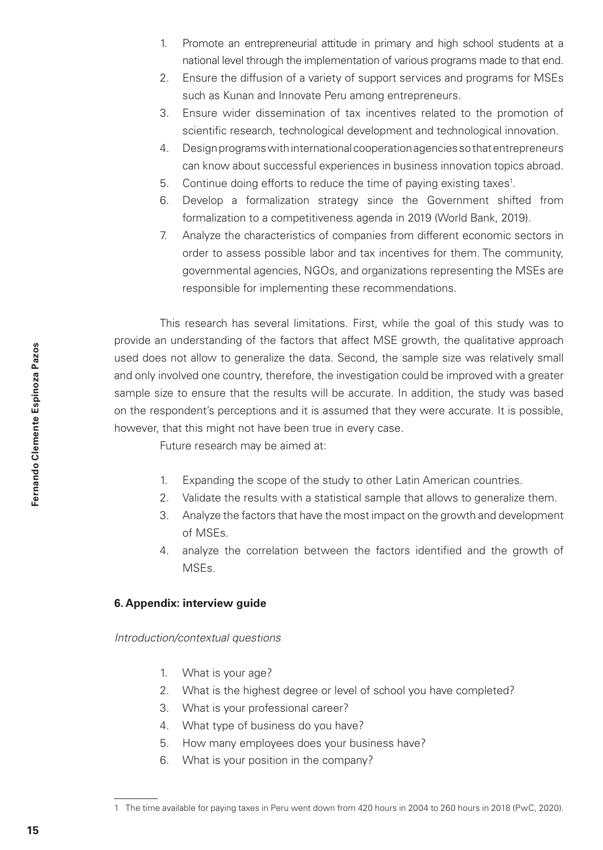- 1. Promote an entrepreneurial attitude in primary and high school students at a national level through the implementation of various programs made to that end.
- 2. Ensure the diffusion of a variety of support services and programs for MSEs such as Kunan and Innovate Peru among entrepreneurs.
- 3. Ensure wider dissemination of tax incentives related to the promotion of scientific research, technological development and technological innovation.
- 4. Design programs with international cooperation agencies so that entrepreneurs can know about successful experiences in business innovation topics abroad.
- 5. Continue doing efforts to reduce the time of paying existing taxes<sup>1</sup>.
- 6. Develop a formalization strategy since the Government shifted from formalization to a competitiveness agenda in 2019 (World Bank, 2019).
- 7. Analyze the characteristics of companies from different economic sectors in order to assess possible labor and tax incentives for them. The community, governmental agencies, NGOs, and organizations representing the MSEs are responsible for implementing these recommendations.

This research has several limitations. First, while the goal of this study was to provide an understanding of the factors that affect MSE growth, the qualitative approach used does not allow to generalize the data. Second, the sample size was relatively small and only involved one country, therefore, the investigation could be improved with a greater sample size to ensure that the results will be accurate. In addition, the study was based on the respondent's perceptions and it is assumed that they were accurate. It is possible, however, that this might not have been true in every case.

Future research may be aimed at:

- 1. Expanding the scope of the study to other Latin American countries.
- 2. Validate the results with a statistical sample that allows to generalize them.
- 3. Analyze the factors that have the most impact on the growth and development of MSEs.
- 4. analyze the correlation between the factors identified and the growth of MSEs.

# **6. Appendix: interview guide**

#### *Introduction/contextual questions*

- 1. What is your age?
- 2. What is the highest degree or level of school you have completed?
- 3. What is your professional career?
- 4. What type of business do you have?
- 5. How many employees does your business have?
- 6. What is your position in the company?

<sup>1</sup> The time available for paying taxes in Peru went down from 420 hours in 2004 to 260 hours in 2018 (PwC, 2020).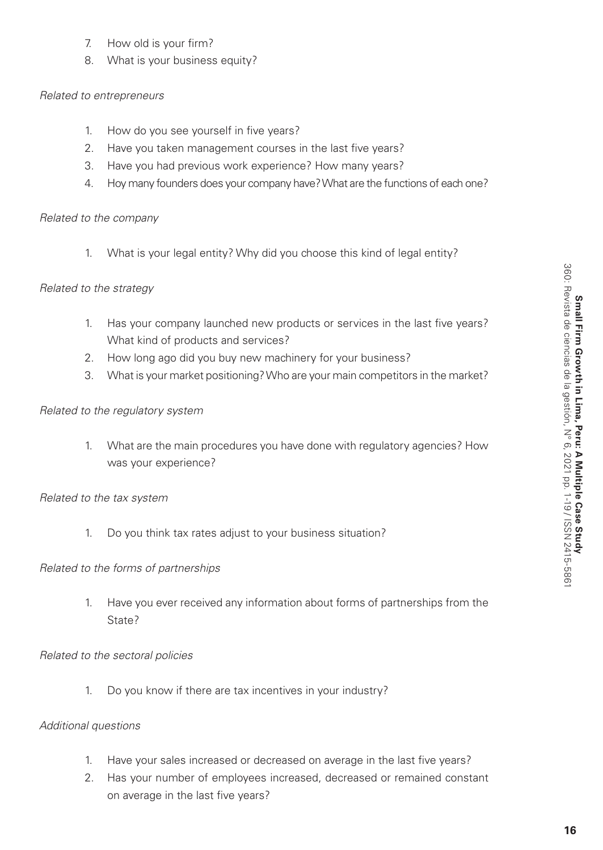- 7. How old is your firm?
- 8. What is your business equity?

# *Related to entrepreneurs*

- 1. How do you see yourself in five years?
- 2. Have you taken management courses in the last five years?
- 3. Have you had previous work experience? How many years?
- 4. Hoy many founders does your company have? What are the functions of each one?

# *Related to the company*

1. What is your legal entity? Why did you choose this kind of legal entity?

# *Related to the strategy*

- 1. Has your company launched new products or services in the last five years? What kind of products and services?
- 2. How long ago did you buy new machinery for your business?
- 3. What is your market positioning? Who are your main competitors in the market?

# *Related to the regulatory system*

1. What are the main procedures you have done with regulatory agencies? How was your experience?

# *Related to the tax system*

1. Do you think tax rates adjust to your business situation?

# *Related to the forms of partnerships*

1. Have you ever received any information about forms of partnerships from the State?

# *Related to the sectoral policies*

1. Do you know if there are tax incentives in your industry?

# *Additional questions*

- 1. Have your sales increased or decreased on average in the last five years?
- 2. Has your number of employees increased, decreased or remained constant on average in the last five years?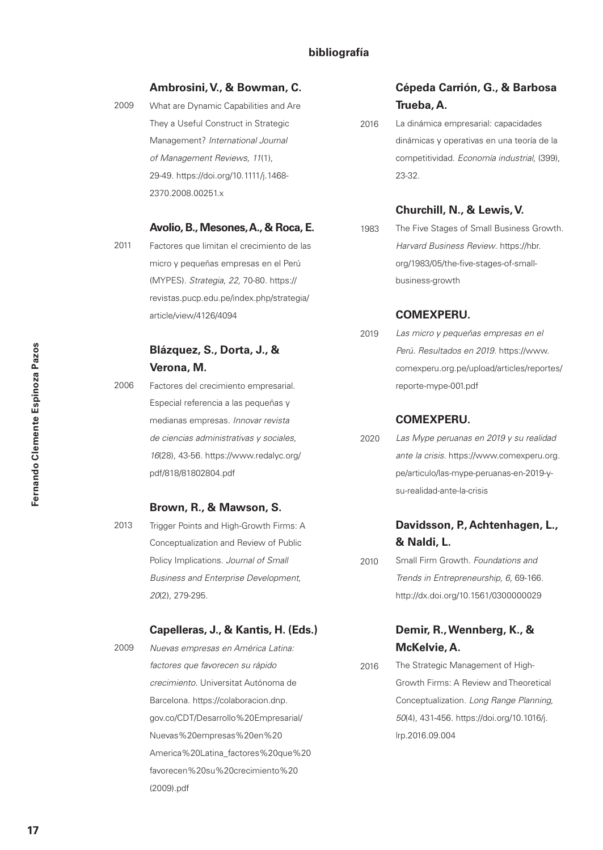# **bibliografía**

#### **Ambrosini, V., & Bowman, C.**

What are Dynamic Capabilities and Are They a Useful Construct in Strategic Management? *International Journal of Management Reviews, 11*(1), 29-49. https://doi.org/10.1111/j.1468- 2370.2008.00251.x

#### **Avolio, B., Mesones, A., & Roca, E.**

2011

Factores que limitan el crecimiento de las micro y pequeñas empresas en el Perú (MYPES)*. Strategia*, *22*, 70-80. https:// revistas.pucp.edu.pe/index.php/strategia/ article/view/4126/4094

# **Blázquez, S., Dorta, J., & Verona, M.**

2006

Factores del crecimiento empresarial. Especial referencia a las pequeñas y medianas empresas. *Innovar revista de ciencias administrativas y sociales*, *16*(28), 43-56. https://www.redalyc.org/ pdf/818/81802804.pdf

# **Brown, R., & Mawson, S.**

Trigger Points and High-Growth Firms: A Conceptualization and Review of Public Policy Implications. *Journal of Small Business and Enterprise Development*, *20*(2), 279-295. 2013

# **Capelleras, J., & Kantis, H. (Eds.)**

- 2009
	- *Nuevas empresas en América Latina: factores que favorecen su rápido crecimiento.* Universitat Autónoma de Barcelona. https://colaboracion.dnp. gov.co/CDT/Desarrollo%20Empresarial/ Nuevas%20empresas%20en%20 America%20Latina\_factores%20que%20 favorecen%20su%20crecimiento%20 (2009).pdf

# **Cépeda Carrión, G., & Barbosa Trueba, A.**

La dinámica empresarial: capacidades dinámicas y operativas en una teoría de la competitividad. *Economía industrial*, (399), 23-32. 2016

#### **Churchill, N., & Lewis, V.**

The Five Stages of Small Business Growth. *Harvard Business Review*. https://hbr. org/1983/05/the-five-stages-of-smallbusiness-growth 1983

## **COMEXPERU.**

*Las micro y pequeñas empresas en el Perú. Resultados en 2019*. https://www. comexperu.org.pe/upload/articles/reportes/ reporte-mype-001.pdf 2019

## **COMEXPERU.**

*Las Mype peruanas en 2019 y su realidad ante la crisis*. https://www.comexperu.org. pe/articulo/las-mype-peruanas-en-2019-ysu-realidad-ante-la-crisis 2020

# **Davidsson, P., Achtenhagen, L., & Naldi, L.**

Small Firm Growth. *Foundations and Trends in Entrepreneurship*, *6*, 69-166. http://dx.doi.org/10.1561/0300000029 2010

# **Demir, R., Wennberg, K., & McKelvie, A.**

The Strategic Management of High-Growth Firms: A Review and Theoretical Conceptualization. *Long Range Planning*, *50*(4), 431-456. https://doi.org/10.1016/j. lrp.2016.09.004 2016

<sup>2009</sup>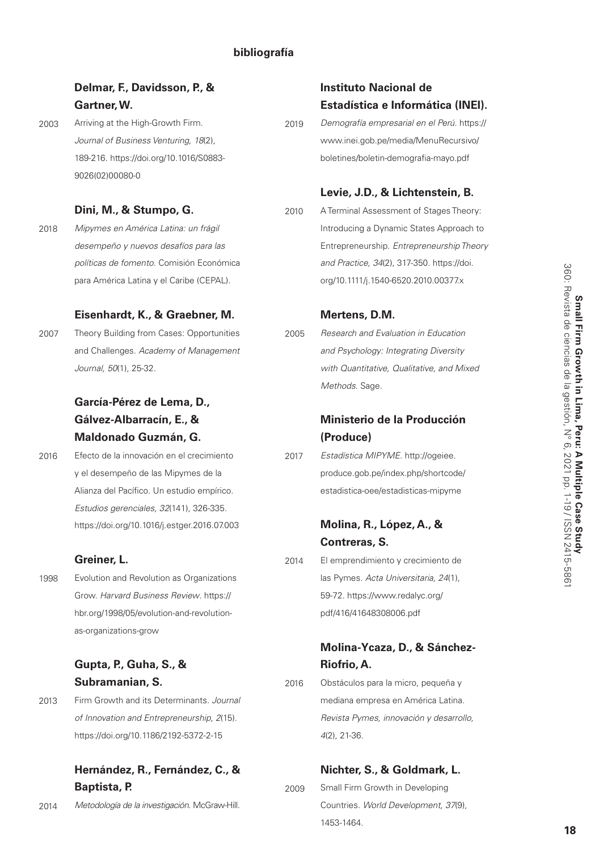| Delmar, F., Davidsson, P., &                 |      | <b>Instituto Nacional de</b>                |
|----------------------------------------------|------|---------------------------------------------|
| Gartner, W.                                  |      | Estadística e Informática (INEI).           |
| Arriving at the High-Growth Firm.            | 2019 | Demografía empresarial en el Perú. https:// |
| Journal of Business Venturing, 18(2),        |      | www.inei.gob.pe/media/MenuRecursivo/        |
| 189-216. https://doi.org/10.1016/S0883-      |      | boletines/boletin-demografia-mayo.pdf       |
| 9026(02)00080-0                              |      |                                             |
|                                              |      | Levie, J.D., & Lichtenstein, B.             |
| Dini, M., & Stumpo, G.                       | 2010 | A Terminal Assessment of Stages Theory:     |
| Mipymes en América Latina: un frágil         |      | Introducing a Dynamic States Approach to    |
| desempeño y nuevos desafíos para las         |      | Entrepreneurship. Entrepreneurship Theory   |
| políticas de fomento. Comisión Económica     |      | and Practice, 34(2), 317-350. https://doi.  |
| para América Latina y el Caribe (CEPAL).     |      | org/10.1111/j.1540-6520.2010.00377.x        |
| Eisenhardt, K., & Graebner, M.               |      | Mertens, D.M.                               |
| Theory Building from Cases: Opportunities    | 2005 | Research and Evaluation in Education        |
| and Challenges. Academy of Management        |      | and Psychology: Integrating Diversity       |
| Journal, 50(1), 25-32.                       |      | with Quantitative, Qualitative, and Mixed   |
|                                              |      | Methods. Sage.                              |
| García-Pérez de Lema, D.,                    |      |                                             |
| Gálvez-Albarracín, E., &                     |      | Ministerio de la Producción                 |
| Maldonado Guzmán, G.                         |      | (Produce)                                   |
| Efecto de la innovación en el crecimiento    | 2017 | Estadística MIPYME. http://ogeiee.          |
| y el desempeño de las Mipymes de la          |      | produce.gob.pe/index.php/shortcode/         |
| Alianza del Pacífico. Un estudio empírico.   |      | estadistica-oee/estadisticas-mipyme         |
| Estudios gerenciales, 32(141), 326-335.      |      |                                             |
| https://doi.org/10.1016/j.estger.2016.07.003 |      | Molina, R., López, A., &                    |
|                                              |      | Contreras, S.                               |
| Greiner, L.                                  | 2014 | El emprendimiento y crecimiento de          |
| Evolution and Revolution as Organizations    |      | las Pymes. Acta Universitaria, 24(1),       |
| Grow. Harvard Business Review. https://      |      | 59-72. https://www.redalyc.org/             |
| hbr.org/1998/05/evolution-and-revolution-    |      | pdf/416/41648308006.pdf                     |
| as-organizations-grow                        |      |                                             |
|                                              |      | Molina-Ycaza, D., & Sánchez-                |
| Gupta, P., Guha, S., &                       |      | Riofrio, A.                                 |
| Subramanian, S.                              | 2016 | Obstáculos para la micro, pequeña y         |
| Firm Growth and its Determinants. Journal    |      | mediana empresa en América Latina.          |
| of Innovation and Entrepreneurship, 2(15).   |      | Revista Pymes, innovación y desarrollo,     |
| https://doi.org/10.1186/2192-5372-2-15       |      | $4(2)$ , 21-36.                             |
|                                              |      |                                             |

2009

**Hernández, R., Fernández, C., & Baptista, P.** 

*Metodología de la investigación*. McGraw-Hill. 2014

**Nichter, S., & Goldmark, L.**